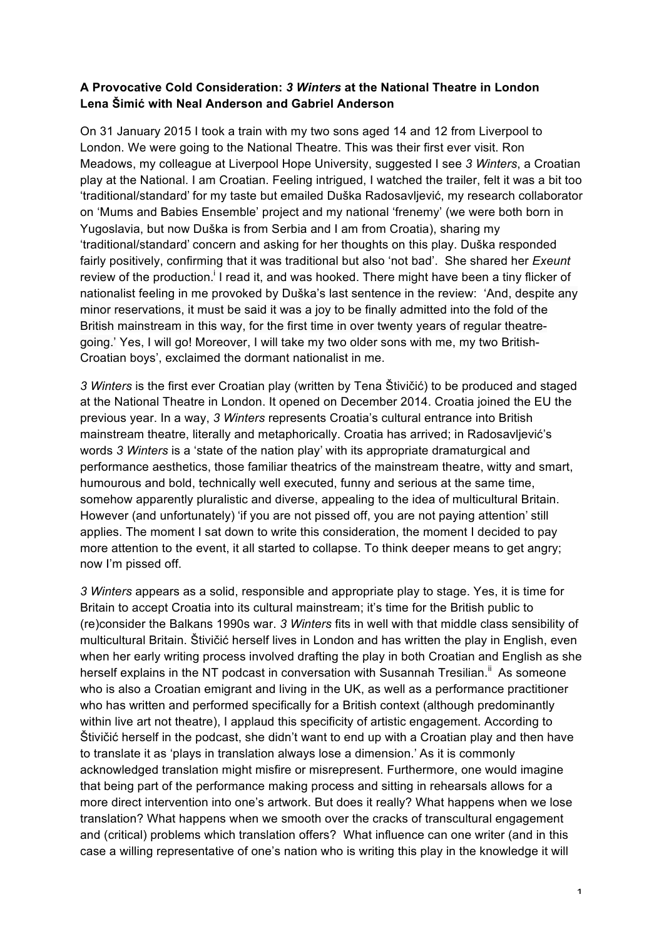### **A Provocative Cold Consideration:** *3 Winters* **at the National Theatre in London Lena Šimić with Neal Anderson and Gabriel Anderson**

On 31 January 2015 I took a train with my two sons aged 14 and 12 from Liverpool to London. We were going to the National Theatre. This was their first ever visit. Ron Meadows, my colleague at Liverpool Hope University, suggested I see *3 Winters*, a Croatian play at the National. I am Croatian. Feeling intrigued, I watched the trailer, felt it was a bit too 'traditional/standard' for my taste but emailed Duška Radosavljević, my research collaborator on 'Mums and Babies Ensemble' project and my national 'frenemy' (we were both born in Yugoslavia, but now Duška is from Serbia and I am from Croatia), sharing my 'traditional/standard' concern and asking for her thoughts on this play. Duška responded fairly positively, confirming that it was traditional but also 'not bad'. She shared her *Exeunt* review of the production.<sup>1</sup> I read it, and was hooked. There might have been a tiny flicker of nationalist feeling in me provoked by Duška's last sentence in the review: 'And, despite any minor reservations, it must be said it was a joy to be finally admitted into the fold of the British mainstream in this way, for the first time in over twenty years of regular theatregoing.' Yes, I will go! Moreover, I will take my two older sons with me, my two British-Croatian boys', exclaimed the dormant nationalist in me.

*3 Winters* is the first ever Croatian play (written by Tena Štivičić) to be produced and staged at the National Theatre in London. It opened on December 2014. Croatia joined the EU the previous year. In a way, *3 Winters* represents Croatia's cultural entrance into British mainstream theatre, literally and metaphorically. Croatia has arrived; in Radosavljević's words *3 Winters* is a 'state of the nation play' with its appropriate dramaturgical and performance aesthetics, those familiar theatrics of the mainstream theatre, witty and smart, humourous and bold, technically well executed, funny and serious at the same time, somehow apparently pluralistic and diverse, appealing to the idea of multicultural Britain. However (and unfortunately) 'if you are not pissed off, you are not paying attention' still applies. The moment I sat down to write this consideration, the moment I decided to pay more attention to the event, it all started to collapse. To think deeper means to get angry; now I'm pissed off.

*3 Winters* appears as a solid, responsible and appropriate play to stage. Yes, it is time for Britain to accept Croatia into its cultural mainstream; it's time for the British public to (re)consider the Balkans 1990s war. *3 Winters* fits in well with that middle class sensibility of multicultural Britain. Štivičić herself lives in London and has written the play in English, even when her early writing process involved drafting the play in both Croatian and English as she herself explains in the NT podcast in conversation with Susannah Tresilian.<sup>ii</sup> As someone who is also a Croatian emigrant and living in the UK, as well as a performance practitioner who has written and performed specifically for a British context (although predominantly within live art not theatre), I applaud this specificity of artistic engagement. According to Štivičić herself in the podcast, she didn't want to end up with a Croatian play and then have to translate it as 'plays in translation always lose a dimension.' As it is commonly acknowledged translation might misfire or misrepresent. Furthermore, one would imagine that being part of the performance making process and sitting in rehearsals allows for a more direct intervention into one's artwork. But does it really? What happens when we lose translation? What happens when we smooth over the cracks of transcultural engagement and (critical) problems which translation offers? What influence can one writer (and in this case a willing representative of one's nation who is writing this play in the knowledge it will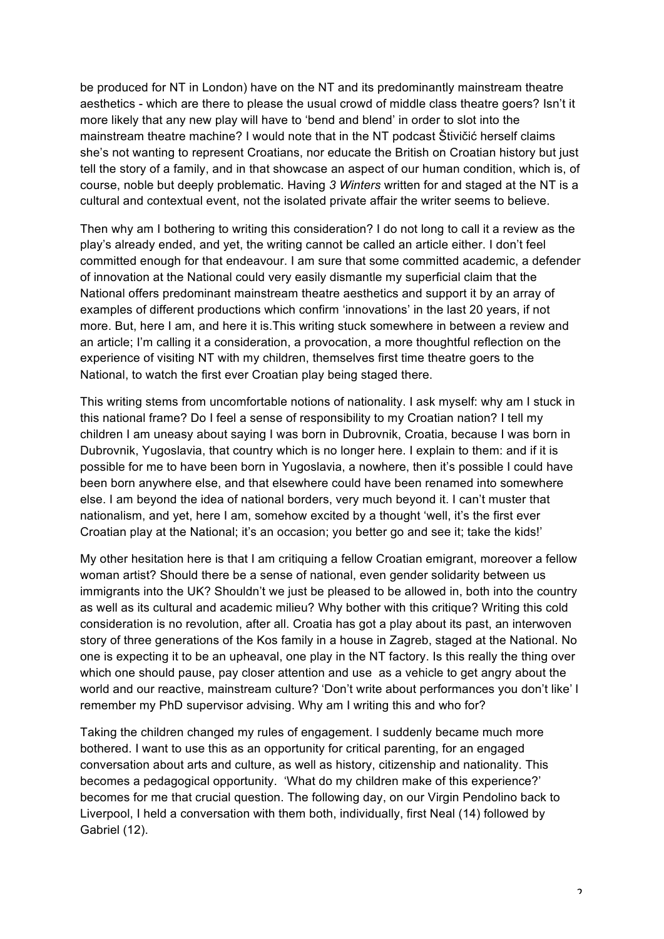be produced for NT in London) have on the NT and its predominantly mainstream theatre aesthetics - which are there to please the usual crowd of middle class theatre goers? Isn't it more likely that any new play will have to 'bend and blend' in order to slot into the mainstream theatre machine? I would note that in the NT podcast Štivičić herself claims she's not wanting to represent Croatians, nor educate the British on Croatian history but just tell the story of a family, and in that showcase an aspect of our human condition, which is, of course, noble but deeply problematic. Having *3 Winters* written for and staged at the NT is a cultural and contextual event, not the isolated private affair the writer seems to believe.

Then why am I bothering to writing this consideration? I do not long to call it a review as the play's already ended, and yet, the writing cannot be called an article either. I don't feel committed enough for that endeavour. I am sure that some committed academic, a defender of innovation at the National could very easily dismantle my superficial claim that the National offers predominant mainstream theatre aesthetics and support it by an array of examples of different productions which confirm 'innovations' in the last 20 years, if not more. But, here I am, and here it is.This writing stuck somewhere in between a review and an article; I'm calling it a consideration, a provocation, a more thoughtful reflection on the experience of visiting NT with my children, themselves first time theatre goers to the National, to watch the first ever Croatian play being staged there.

This writing stems from uncomfortable notions of nationality. I ask myself: why am I stuck in this national frame? Do I feel a sense of responsibility to my Croatian nation? I tell my children I am uneasy about saying I was born in Dubrovnik, Croatia, because I was born in Dubrovnik, Yugoslavia, that country which is no longer here. I explain to them: and if it is possible for me to have been born in Yugoslavia, a nowhere, then it's possible I could have been born anywhere else, and that elsewhere could have been renamed into somewhere else. I am beyond the idea of national borders, very much beyond it. I can't muster that nationalism, and yet, here I am, somehow excited by a thought 'well, it's the first ever Croatian play at the National; it's an occasion; you better go and see it; take the kids!'

My other hesitation here is that I am critiquing a fellow Croatian emigrant, moreover a fellow woman artist? Should there be a sense of national, even gender solidarity between us immigrants into the UK? Shouldn't we just be pleased to be allowed in, both into the country as well as its cultural and academic milieu? Why bother with this critique? Writing this cold consideration is no revolution, after all. Croatia has got a play about its past, an interwoven story of three generations of the Kos family in a house in Zagreb, staged at the National. No one is expecting it to be an upheaval, one play in the NT factory. Is this really the thing over which one should pause, pay closer attention and use as a vehicle to get angry about the world and our reactive, mainstream culture? 'Don't write about performances you don't like' I remember my PhD supervisor advising. Why am I writing this and who for?

Taking the children changed my rules of engagement. I suddenly became much more bothered. I want to use this as an opportunity for critical parenting, for an engaged conversation about arts and culture, as well as history, citizenship and nationality. This becomes a pedagogical opportunity. 'What do my children make of this experience?' becomes for me that crucial question. The following day, on our Virgin Pendolino back to Liverpool, I held a conversation with them both, individually, first Neal (14) followed by Gabriel (12).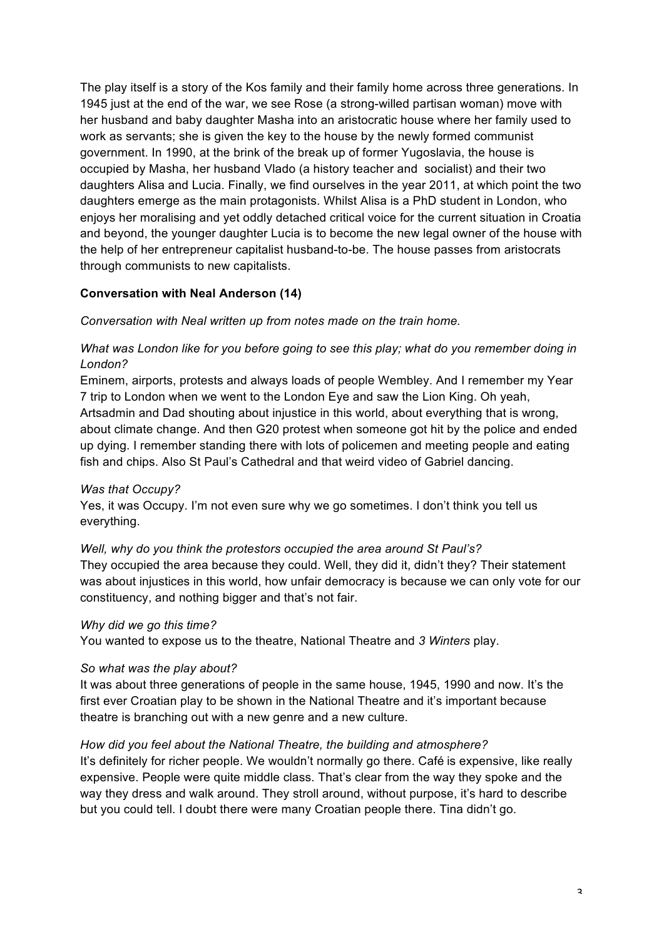The play itself is a story of the Kos family and their family home across three generations. In 1945 just at the end of the war, we see Rose (a strong-willed partisan woman) move with her husband and baby daughter Masha into an aristocratic house where her family used to work as servants; she is given the key to the house by the newly formed communist government. In 1990, at the brink of the break up of former Yugoslavia, the house is occupied by Masha, her husband Vlado (a history teacher and socialist) and their two daughters Alisa and Lucia. Finally, we find ourselves in the year 2011, at which point the two daughters emerge as the main protagonists. Whilst Alisa is a PhD student in London, who enjoys her moralising and yet oddly detached critical voice for the current situation in Croatia and beyond, the younger daughter Lucia is to become the new legal owner of the house with the help of her entrepreneur capitalist husband-to-be. The house passes from aristocrats through communists to new capitalists.

# **Conversation with Neal Anderson (14)**

*Conversation with Neal written up from notes made on the train home.*

*What was London like for you before going to see this play; what do you remember doing in London?*

Eminem, airports, protests and always loads of people Wembley. And I remember my Year 7 trip to London when we went to the London Eye and saw the Lion King. Oh yeah, Artsadmin and Dad shouting about injustice in this world, about everything that is wrong, about climate change. And then G20 protest when someone got hit by the police and ended up dying. I remember standing there with lots of policemen and meeting people and eating fish and chips. Also St Paul's Cathedral and that weird video of Gabriel dancing.

### *Was that Occupy?*

Yes, it was Occupy. I'm not even sure why we go sometimes. I don't think you tell us everything.

*Well, why do you think the protestors occupied the area around St Paul's?* They occupied the area because they could. Well, they did it, didn't they? Their statement was about injustices in this world, how unfair democracy is because we can only vote for our constituency, and nothing bigger and that's not fair.

#### *Why did we go this time?*

You wanted to expose us to the theatre, National Theatre and *3 Winters* play.

#### *So what was the play about?*

It was about three generations of people in the same house, 1945, 1990 and now. It's the first ever Croatian play to be shown in the National Theatre and it's important because theatre is branching out with a new genre and a new culture.

### *How did you feel about the National Theatre, the building and atmosphere?*

It's definitely for richer people. We wouldn't normally go there. Café is expensive, like really expensive. People were quite middle class. That's clear from the way they spoke and the way they dress and walk around. They stroll around, without purpose, it's hard to describe but you could tell. I doubt there were many Croatian people there. Tina didn't go.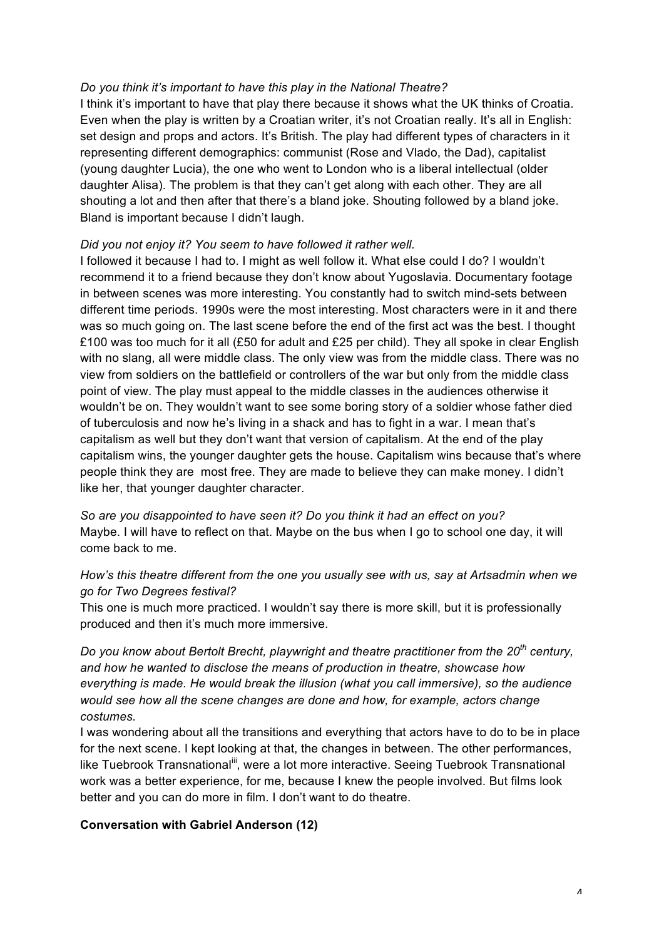### *Do you think it's important to have this play in the National Theatre?*

I think it's important to have that play there because it shows what the UK thinks of Croatia. Even when the play is written by a Croatian writer, it's not Croatian really. It's all in English: set design and props and actors. It's British. The play had different types of characters in it representing different demographics: communist (Rose and Vlado, the Dad), capitalist (young daughter Lucia), the one who went to London who is a liberal intellectual (older daughter Alisa). The problem is that they can't get along with each other. They are all shouting a lot and then after that there's a bland joke. Shouting followed by a bland joke. Bland is important because I didn't laugh.

### *Did you not enjoy it? You seem to have followed it rather well.*

I followed it because I had to. I might as well follow it. What else could I do? I wouldn't recommend it to a friend because they don't know about Yugoslavia. Documentary footage in between scenes was more interesting. You constantly had to switch mind-sets between different time periods. 1990s were the most interesting. Most characters were in it and there was so much going on. The last scene before the end of the first act was the best. I thought £100 was too much for it all (£50 for adult and £25 per child). They all spoke in clear English with no slang, all were middle class. The only view was from the middle class. There was no view from soldiers on the battlefield or controllers of the war but only from the middle class point of view. The play must appeal to the middle classes in the audiences otherwise it wouldn't be on. They wouldn't want to see some boring story of a soldier whose father died of tuberculosis and now he's living in a shack and has to fight in a war. I mean that's capitalism as well but they don't want that version of capitalism. At the end of the play capitalism wins, the younger daughter gets the house. Capitalism wins because that's where people think they are most free. They are made to believe they can make money. I didn't like her, that younger daughter character.

*So are you disappointed to have seen it? Do you think it had an effect on you?* Maybe. I will have to reflect on that. Maybe on the bus when I go to school one day, it will come back to me.

# *How's this theatre different from the one you usually see with us, say at Artsadmin when we go for Two Degrees festival?*

This one is much more practiced. I wouldn't say there is more skill, but it is professionally produced and then it's much more immersive.

*Do you know about Bertolt Brecht, playwright and theatre practitioner from the 20th century, and how he wanted to disclose the means of production in theatre, showcase how everything is made. He would break the illusion (what you call immersive), so the audience would see how all the scene changes are done and how, for example, actors change costumes.*

I was wondering about all the transitions and everything that actors have to do to be in place for the next scene. I kept looking at that, the changes in between. The other performances, like Tuebrook Transnational<sup>iii</sup>, were a lot more interactive. Seeing Tuebrook Transnational work was a better experience, for me, because I knew the people involved. But films look better and you can do more in film. I don't want to do theatre.

# **Conversation with Gabriel Anderson (12)**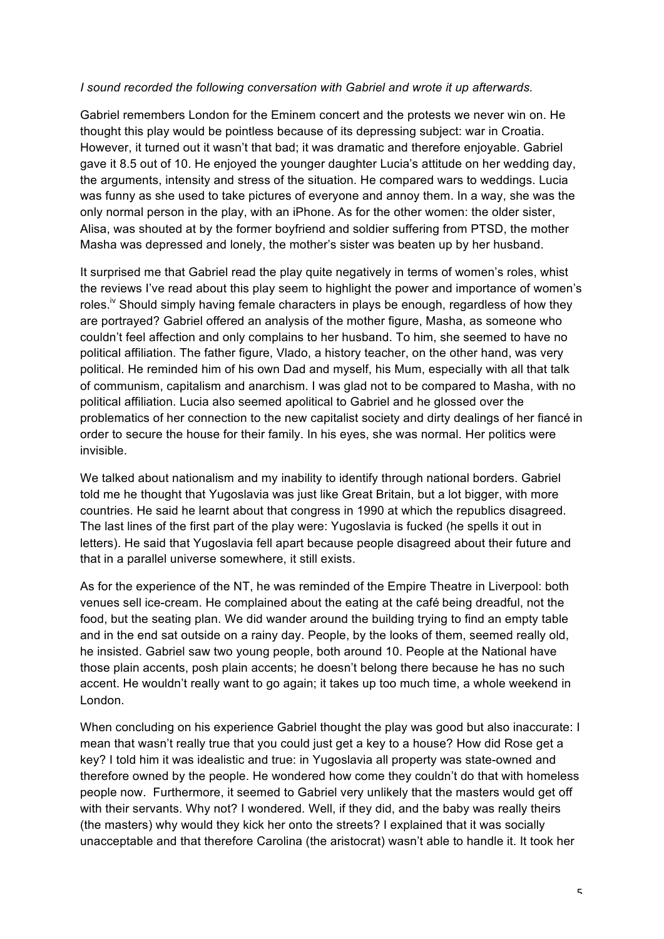#### *I sound recorded the following conversation with Gabriel and wrote it up afterwards.*

Gabriel remembers London for the Eminem concert and the protests we never win on. He thought this play would be pointless because of its depressing subject: war in Croatia. However, it turned out it wasn't that bad; it was dramatic and therefore enjoyable. Gabriel gave it 8.5 out of 10. He enjoyed the younger daughter Lucia's attitude on her wedding day, the arguments, intensity and stress of the situation. He compared wars to weddings. Lucia was funny as she used to take pictures of everyone and annoy them. In a way, she was the only normal person in the play, with an iPhone. As for the other women: the older sister, Alisa, was shouted at by the former boyfriend and soldier suffering from PTSD, the mother Masha was depressed and lonely, the mother's sister was beaten up by her husband.

It surprised me that Gabriel read the play quite negatively in terms of women's roles, whist the reviews I've read about this play seem to highlight the power and importance of women's roles.<sup>iv</sup> Should simply having female characters in plays be enough, regardless of how they are portrayed? Gabriel offered an analysis of the mother figure, Masha, as someone who couldn't feel affection and only complains to her husband. To him, she seemed to have no political affiliation. The father figure, Vlado, a history teacher, on the other hand, was very political. He reminded him of his own Dad and myself, his Mum, especially with all that talk of communism, capitalism and anarchism. I was glad not to be compared to Masha, with no political affiliation. Lucia also seemed apolitical to Gabriel and he glossed over the problematics of her connection to the new capitalist society and dirty dealings of her fiancé in order to secure the house for their family. In his eyes, she was normal. Her politics were invisible.

We talked about nationalism and my inability to identify through national borders. Gabriel told me he thought that Yugoslavia was just like Great Britain, but a lot bigger, with more countries. He said he learnt about that congress in 1990 at which the republics disagreed. The last lines of the first part of the play were: Yugoslavia is fucked (he spells it out in letters). He said that Yugoslavia fell apart because people disagreed about their future and that in a parallel universe somewhere, it still exists.

As for the experience of the NT, he was reminded of the Empire Theatre in Liverpool: both venues sell ice-cream. He complained about the eating at the café being dreadful, not the food, but the seating plan. We did wander around the building trying to find an empty table and in the end sat outside on a rainy day. People, by the looks of them, seemed really old, he insisted. Gabriel saw two young people, both around 10. People at the National have those plain accents, posh plain accents; he doesn't belong there because he has no such accent. He wouldn't really want to go again; it takes up too much time, a whole weekend in London.

When concluding on his experience Gabriel thought the play was good but also inaccurate: I mean that wasn't really true that you could just get a key to a house? How did Rose get a key? I told him it was idealistic and true: in Yugoslavia all property was state-owned and therefore owned by the people. He wondered how come they couldn't do that with homeless people now. Furthermore, it seemed to Gabriel very unlikely that the masters would get off with their servants. Why not? I wondered. Well, if they did, and the baby was really theirs (the masters) why would they kick her onto the streets? I explained that it was socially unacceptable and that therefore Carolina (the aristocrat) wasn't able to handle it. It took her